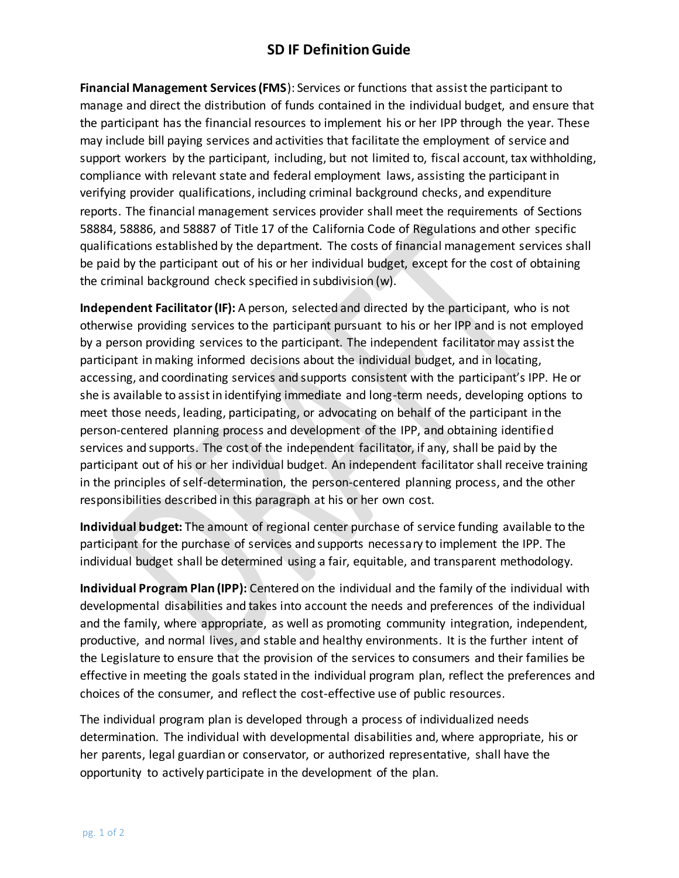## **SD IF Definition Guide**

**Financial Management Services (FMS**): Services or functions that assist the participant to manage and direct the distribution of funds contained in the individual budget, and ensure that the participant has the financial resources to implement his or her IPP through the year. These may include bill paying services and activities that facilitate the employment of service and support workers by the participant, including, but not limited to, fiscal account, tax withholding, compliance with relevant state and federal employment laws, assisting the participant in verifying provider qualifications, including criminal background checks, and expenditure reports. The financial management services provider shall meet the requirements of Sections 58884, 58886, and 58887 of Title 17 of the California Code of Regulations and other specific qualifications established by the department. The costs of financial management services shall be paid by the participant out of his or her individual budget, except for the cost of obtaining the criminal background check specified in subdivision (w).

**Independent Facilitator (IF):** A person, selected and directed by the participant, who is not otherwise providing services to the participant pursuant to his or her IPP and is not employed by a person providing services to the participant. The independent facilitator may assist the participant in making informed decisions about the individual budget, and in locating, accessing, and coordinating services and supports consistent with the participant's IPP. He or she is available to assist in identifying immediate and long-term needs, developing options to meet those needs, leading, participating, or advocating on behalf of the participant in the person-centered planning process and development of the IPP, and obtaining identified services and supports. The cost of the independent facilitator, if any, shall be paid by the participant out of his or her individual budget. An independent facilitator shall receive training in the principles of self-determination, the person-centered planning process, and the other responsibilities described in this paragraph at his or her own cost.

**Individual budget:** The amount of regional center purchase of service funding available to the participant for the purchase of services and supports necessary to implement the IPP. The individual budget shall be determined using a fair, equitable, and transparent methodology.

**Individual Program Plan (IPP):** Centered on the individual and the family of the individual with developmental disabilities and takes into account the needs and preferences of the individual and the family, where appropriate, as well as promoting community integration, independent, productive, and normal lives, and stable and healthy environments. It is the further intent of the Legislature to ensure that the provision of the services to consumers and their families be effective in meeting the goals stated in the individual program plan, reflect the preferences and choices of the consumer, and reflect the cost-effective use of public resources.

The individual program plan is developed through a process of individualized needs determination. The individual with developmental disabilities and, where appropriate, his or her parents, legal guardian or conservator, or authorized representative, shall have the opportunity to actively participate in the development of the plan.